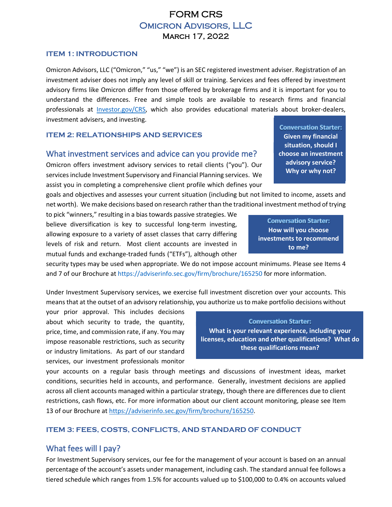## FORM CRS Omicron Advisors, LLC March 17, 2022

### **ITEM 1: INTRODUCTION**

Omicron Advisors, LLC ("Omicron," "us," "we") is an SEC registered investment adviser. Registration of an investment adviser does not imply any level of skill or training. Services and fees offered by investment advisory firms like Omicron differ from those offered by brokerage firms and it is important for you to understand the differences. Free and simple tools are available to research firms and financial professionals at [Investor.gov/CRS,](https://www.investor.gov/CRS) which also provides educational materials about broker-dealers, investment advisers, and investing.

### **ITEM 2: RELATIONSHIPS AND SERVICES**

### What investment services and advice can you provide me?

Omicron offers investment advisory services to retail clients ("you"). Our services include Investment Supervisory and Financial Planning services. We assist you in completing a comprehensive client profile which defines your

goals and objectives and assesses your current situation (including but not limited to income, assets and net worth). We make decisions based on research rather than the traditional investment method of trying

to pick "winners," resulting in a bias towards passive strategies. We believe diversification is key to successful long-term investing, allowing exposure to a variety of asset classes that carry differing levels of risk and return. Most client accounts are invested in mutual funds and exchange-traded funds ("ETFs"), although other

security types may be used when appropriate. We do not impose account minimums. Please see Items 4 and 7 of our Brochure at https://adviserinfo.sec.gov/firm/brochure/165250 for more information.

Under Investment Supervisory services, we exercise full investment discretion over your accounts. This means that at the outset of an advisory relationship, you authorize us to make portfolio decisions without

your prior approval. This includes decisions about which security to trade, the quantity, price, time, and commission rate, if any. You may impose reasonable restrictions, such as security or industry limitations. As part of our standard services, our investment professionals monitor

#### **Conversation Starter:**

**What is your relevant experience, including your licenses, education and other qualifications? What do these qualifications mean?**

your accounts on a regular basis through meetings and discussions of investment ideas, market conditions, securities held in accounts, and performance. Generally, investment decisions are applied across all client accounts managed within a particular strategy, though there are differences due to client restrictions, cash flows, etc. For more information about our client account monitoring, please see Item 13 of our Brochure at [https://adviserinfo.sec.gov/firm/brochure/165250.](https://adviserinfo.sec.gov/firm/brochure/165250)

## **ITEM 3: FEES, COSTS, CONFLICTS, AND STANDARD OF CONDUCT**

## What fees will I pay?

For Investment Supervisory services, our fee for the management of your account is based on an annual percentage of the account's assets under management, including cash. The standard annual fee follows a tiered schedule which ranges from 1.5% for accounts valued up to \$100,000 to 0.4% on accounts valued

**Conversation Starter: Given my financial Given my financial<br>situation, should I<br>choose an investment situation, should I advisory service? Why or why not? advisory service? Why or why not?**

**How will you choose investments to recommend to me?**

**Conversation Starter:**